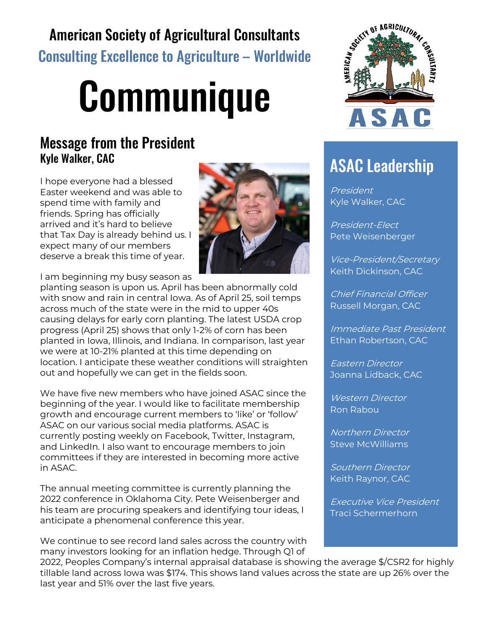## American Society of Agricultural Consultants

## Consulting Excellence to Agriculture – Worldwide

# Communique

### Message from the President Kyle Walker, CAC

I hope everyone had a blessed Easter weekend and was able to spend time with family and friends. Spring has officially arrived and it's hard to believe that Tax Day is already behind us. I expect many of our members deserve a break this time of year.



I am beginning my busy season as

planting season is upon us. April has been abnormally cold with snow and rain in central Iowa. As of April 25, soil temps across much of the state were in the mid to upper 40s causing delays for early corn planting. The latest USDA crop progress (April 25) shows that only 1-2% of corn has been planted in Iowa, Illinois, and Indiana. In comparison, last year we were at 10-21% planted at this time depending on location. I anticipate these weather conditions will straighten out and hopefully we can get in the fields soon.

We have five new members who have joined ASAC since the beginning of the year. I would like to facilitate membership growth and encourage current members to 'like' or 'follow' ASAC on our various social media platforms. ASAC is currently posting weekly on Facebook, Twitter, Instagram, and LinkedIn. I also want to encourage members to join committees if they are interested in becoming more active in ASAC.

The annual meeting committee is currently planning the 2022 conference in Oklahoma City. Pete Weisenberger and his team are procuring speakers and identifying tour ideas, I anticipate a phenomenal conference this year.

We continue to see record land sales across the country with many investors looking for an inflation hedge. Through Q1 of



## ASAC Leadership

President Kyle Walker, CAC

President-Elect Pete Weisenberger

Vice-President/Secretary Keith Dickinson, CAC

Chief Financial Officer Russell Morgan, CAC

Immediate Past President Ethan Robertson, CAC

Eastern Director Joanna Lidback, CAC

Western Director Ron Rabou

Northern Director Steve McWilliams

Southern Director Keith Raynor, CAC

Executive Vice President Traci Schermerhorn

2022, Peoples Company's internal appraisal database is showing the average \$/CSR2 for highly tillable land across Iowa was \$174. This shows land values across the state are up 26% over the last year and 51% over the last five years.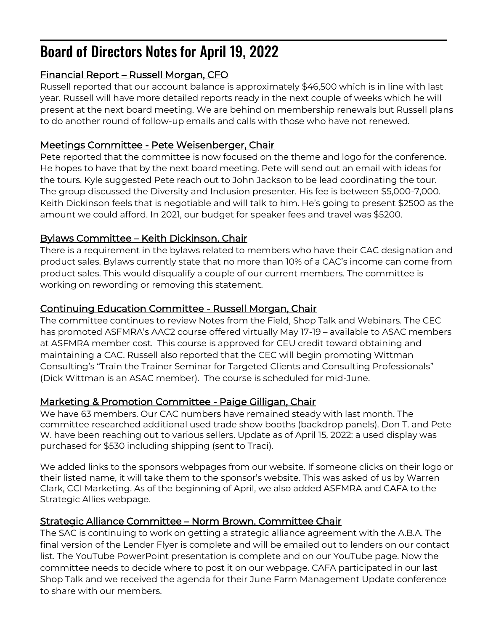## Board of Directors Notes for April 19, 2022

#### Financial Report – Russell Morgan, CFO

Russell reported that our account balance is approximately \$46,500 which is in line with last year. Russell will have more detailed reports ready in the next couple of weeks which he will present at the next board meeting. We are behind on membership renewals but Russell plans to do another round of follow-up emails and calls with those who have not renewed.

#### Meetings Committee - Pete Weisenberger, Chair

Pete reported that the committee is now focused on the theme and logo for the conference. He hopes to have that by the next board meeting. Pete will send out an email with ideas for the tours. Kyle suggested Pete reach out to John Jackson to be lead coordinating the tour. The group discussed the Diversity and Inclusion presenter. His fee is between \$5,000-7,000. Keith Dickinson feels that is negotiable and will talk to him. He's going to present \$2500 as the amount we could afford. In 2021, our budget for speaker fees and travel was \$5200.

#### Bylaws Committee – Keith Dickinson, Chair

There is a requirement in the bylaws related to members who have their CAC designation and product sales. Bylaws currently state that no more than 10% of a CAC's income can come from product sales. This would disqualify a couple of our current members. The committee is working on rewording or removing this statement.

#### Continuing Education Committee - Russell Morgan, Chair

The committee continues to review Notes from the Field, Shop Talk and Webinars. The CEC has promoted ASFMRA's AAC2 course offered virtually May 17-19 – available to ASAC members at ASFMRA member cost. This course is approved for CEU credit toward obtaining and maintaining a CAC. Russell also reported that the CEC will begin promoting Wittman Consulting's "Train the Trainer Seminar for Targeted Clients and Consulting Professionals" (Dick Wittman is an ASAC member). The course is scheduled for mid-June.

#### Marketing & Promotion Committee - Paige Gilligan, Chair

We have 63 members. Our CAC numbers have remained steady with last month. The committee researched additional used trade show booths (backdrop panels). Don T. and Pete W. have been reaching out to various sellers. Update as of April 15, 2022: a used display was purchased for \$530 including shipping (sent to Traci).

We added links to the sponsors webpages from our website. If someone clicks on their logo or their listed name, it will take them to the sponsor's website. This was asked of us by Warren Clark, CCI Marketing. As of the beginning of April, we also added ASFMRA and CAFA to the Strategic Allies webpage.

#### Strategic Alliance Committee – Norm Brown, Committee Chair

The SAC is continuing to work on getting a strategic alliance agreement with the A.B.A. The final version of the Lender Flyer is complete and will be emailed out to lenders on our contact list. The YouTube PowerPoint presentation is complete and on our YouTube page. Now the committee needs to decide where to post it on our webpage. CAFA participated in our last Shop Talk and we received the agenda for their June Farm Management Update conference to share with our members.